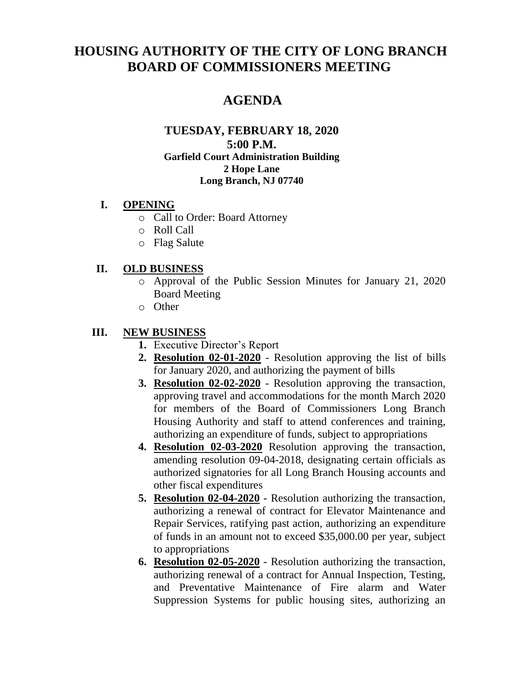# **HOUSING AUTHORITY OF THE CITY OF LONG BRANCH BOARD OF COMMISSIONERS MEETING**

## **AGENDA**

#### **TUESDAY, FEBRUARY 18, 2020 5:00 P.M. Garfield Court Administration Building 2 Hope Lane Long Branch, NJ 07740**

#### **I. OPENING**

- o Call to Order: Board Attorney
- o Roll Call
- o Flag Salute

#### **II. OLD BUSINESS**

- o Approval of the Public Session Minutes for January 21, 2020 Board Meeting
- o Other

#### **III. NEW BUSINESS**

- **1.** Executive Director's Report
- **2. Resolution 02-01-2020** Resolution approving the list of bills for January 2020, and authorizing the payment of bills
- **3. Resolution 02-02-2020** Resolution approving the transaction, approving travel and accommodations for the month March 2020 for members of the Board of Commissioners Long Branch Housing Authority and staff to attend conferences and training, authorizing an expenditure of funds, subject to appropriations
- **4. Resolution 02-03-2020** Resolution approving the transaction, amending resolution 09-04-2018, designating certain officials as authorized signatories for all Long Branch Housing accounts and other fiscal expenditures
- **5. Resolution 02-04-2020** Resolution authorizing the transaction, authorizing a renewal of contract for Elevator Maintenance and Repair Services, ratifying past action, authorizing an expenditure of funds in an amount not to exceed \$35,000.00 per year, subject to appropriations
- **6. Resolution 02-05-2020** Resolution authorizing the transaction, authorizing renewal of a contract for Annual Inspection, Testing, and Preventative Maintenance of Fire alarm and Water Suppression Systems for public housing sites, authorizing an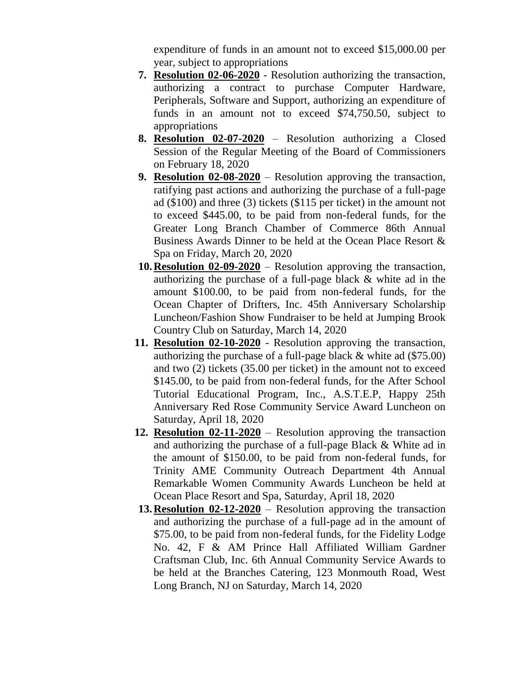expenditure of funds in an amount not to exceed \$15,000.00 per year, subject to appropriations

- **7. Resolution 02-06-2020** Resolution authorizing the transaction, authorizing a contract to purchase Computer Hardware, Peripherals, Software and Support, authorizing an expenditure of funds in an amount not to exceed \$74,750.50, subject to appropriations
- **8. Resolution 02-07-2020** Resolution authorizing a Closed Session of the Regular Meeting of the Board of Commissioners on February 18, 2020
- **9. Resolution 02-08-2020** Resolution approving the transaction, ratifying past actions and authorizing the purchase of a full-page ad (\$100) and three (3) tickets (\$115 per ticket) in the amount not to exceed \$445.00, to be paid from non-federal funds, for the Greater Long Branch Chamber of Commerce 86th Annual Business Awards Dinner to be held at the Ocean Place Resort & Spa on Friday, March 20, 2020
- **10.Resolution 02-09-2020** Resolution approving the transaction, authorizing the purchase of a full-page black & white ad in the amount \$100.00, to be paid from non-federal funds, for the Ocean Chapter of Drifters, Inc. 45th Anniversary Scholarship Luncheon/Fashion Show Fundraiser to be held at Jumping Brook Country Club on Saturday, March 14, 2020
- **11. Resolution 02-10-2020** Resolution approving the transaction, authorizing the purchase of a full-page black & white ad (\$75.00) and two (2) tickets (35.00 per ticket) in the amount not to exceed \$145.00, to be paid from non-federal funds, for the After School Tutorial Educational Program, Inc., A.S.T.E.P, Happy 25th Anniversary Red Rose Community Service Award Luncheon on Saturday, April 18, 2020
- **12. Resolution 02-11-2020** Resolution approving the transaction and authorizing the purchase of a full-page Black & White ad in the amount of \$150.00, to be paid from non-federal funds, for Trinity AME Community Outreach Department 4th Annual Remarkable Women Community Awards Luncheon be held at Ocean Place Resort and Spa, Saturday, April 18, 2020
- **13.Resolution 02-12-2020** Resolution approving the transaction and authorizing the purchase of a full-page ad in the amount of \$75.00, to be paid from non-federal funds, for the Fidelity Lodge No. 42, F & AM Prince Hall Affiliated William Gardner Craftsman Club, Inc. 6th Annual Community Service Awards to be held at the Branches Catering, 123 Monmouth Road, West Long Branch, NJ on Saturday, March 14, 2020